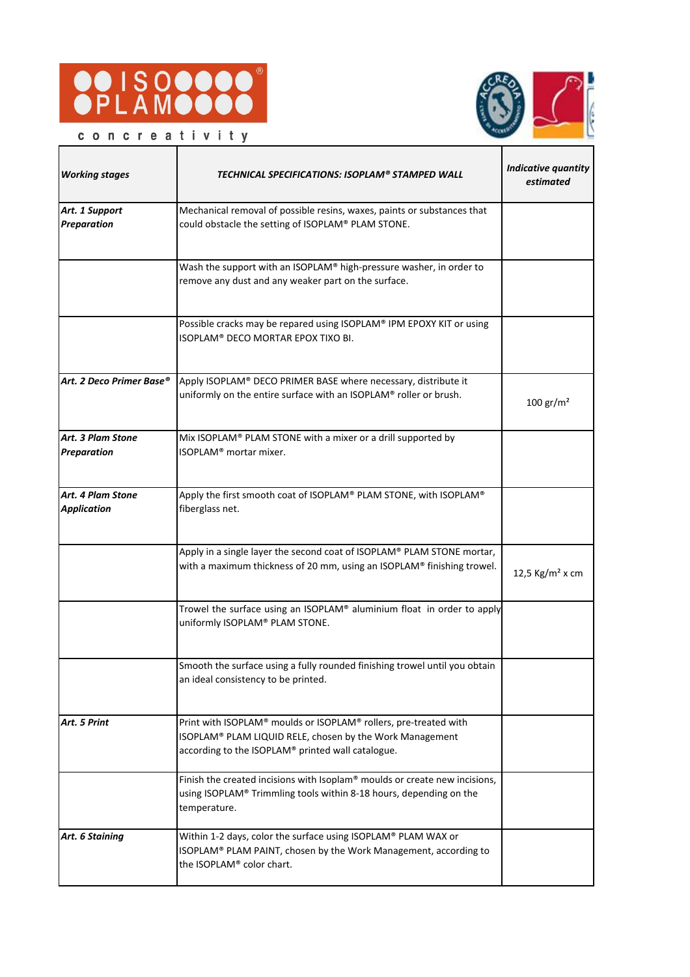



concreativity

| <b>Working stages</b>                   | TECHNICAL SPECIFICATIONS: ISOPLAM® STAMPED WALL                                                                                                                                   | <b>Indicative quantity</b><br>estimated |
|-----------------------------------------|-----------------------------------------------------------------------------------------------------------------------------------------------------------------------------------|-----------------------------------------|
| Art. 1 Support<br>Preparation           | Mechanical removal of possible resins, waxes, paints or substances that<br>could obstacle the setting of ISOPLAM® PLAM STONE.                                                     |                                         |
|                                         | Wash the support with an ISOPLAM® high-pressure washer, in order to<br>remove any dust and any weaker part on the surface.                                                        |                                         |
|                                         | Possible cracks may be repared using ISOPLAM® IPM EPOXY KIT or using<br>ISOPLAM® DECO MORTAR EPOX TIXO BI.                                                                        |                                         |
| Art. 2 Deco Primer Base®                | Apply ISOPLAM® DECO PRIMER BASE where necessary, distribute it<br>uniformly on the entire surface with an ISOPLAM® roller or brush.                                               | $100 \text{ gr/m}^2$                    |
| Art. 3 Plam Stone<br><b>Preparation</b> | Mix ISOPLAM® PLAM STONE with a mixer or a drill supported by<br>ISOPLAM <sup>®</sup> mortar mixer.                                                                                |                                         |
| Art. 4 Plam Stone<br><b>Application</b> | Apply the first smooth coat of ISOPLAM® PLAM STONE, with ISOPLAM®<br>fiberglass net.                                                                                              |                                         |
|                                         | Apply in a single layer the second coat of ISOPLAM® PLAM STONE mortar,<br>with a maximum thickness of 20 mm, using an ISOPLAM® finishing trowel.                                  | 12,5 Kg/m <sup>2</sup> x cm             |
|                                         | Trowel the surface using an ISOPLAM® aluminium float in order to apply<br>uniformly ISOPLAM® PLAM STONE.                                                                          |                                         |
|                                         | Smooth the surface using a fully rounded finishing trowel until you obtain<br>an ideal consistency to be printed.                                                                 |                                         |
| Art. 5 Print                            | Print with ISOPLAM® moulds or ISOPLAM® rollers, pre-treated with<br>ISOPLAM® PLAM LIQUID RELE, chosen by the Work Management<br>according to the ISOPLAM® printed wall catalogue. |                                         |
|                                         | Finish the created incisions with Isoplam® moulds or create new incisions,<br>using ISOPLAM® Trimmling tools within 8-18 hours, depending on the<br>temperature.                  |                                         |
| Art. 6 Staining                         | Within 1-2 days, color the surface using ISOPLAM® PLAM WAX or<br>ISOPLAM® PLAM PAINT, chosen by the Work Management, according to<br>the ISOPLAM® color chart.                    |                                         |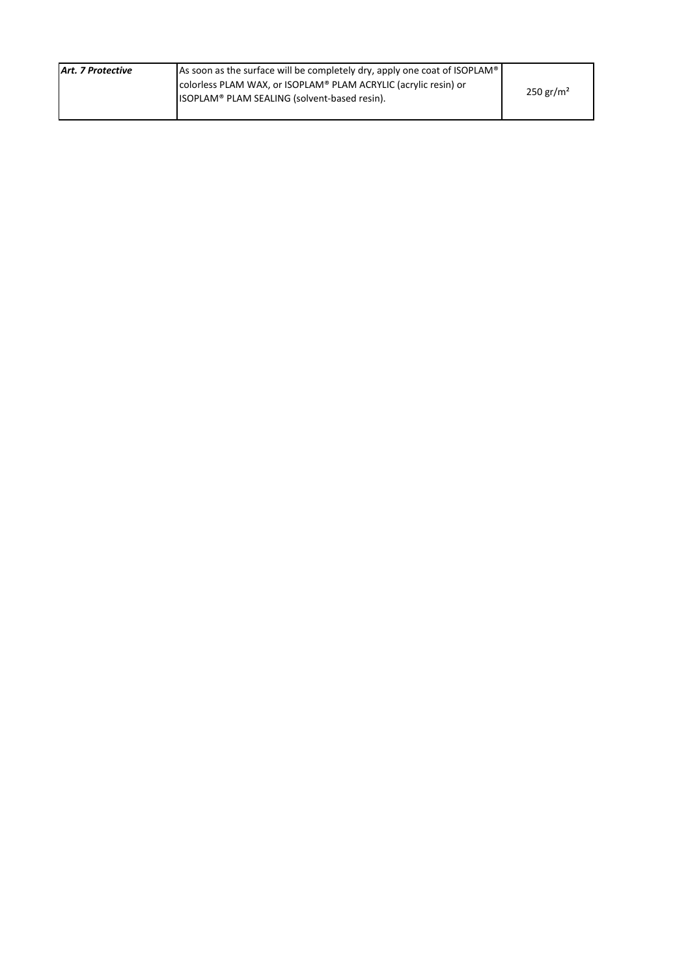| Art. 7 Protective | As soon as the surface will be completely dry, apply one coat of ISOPLAM® | $250 \,\mathrm{gr/m^2}$ |
|-------------------|---------------------------------------------------------------------------|-------------------------|
|                   | colorless PLAM WAX, or ISOPLAM® PLAM ACRYLIC (acrylic resin) or           |                         |
|                   | ISOPLAM <sup>®</sup> PLAM SEALING (solvent-based resin).                  |                         |
|                   |                                                                           |                         |